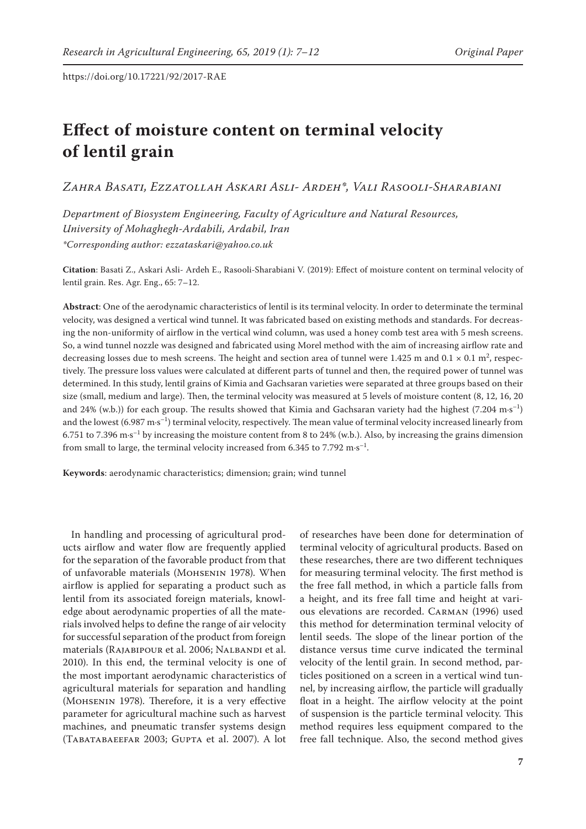# **Effect of moisture content on terminal velocity of lentil grain**

*Zahra Basati, Ezzatollah Askari Asli- Ardeh\*, Vali Rasooli-Sharabiani*

*Department of Biosystem Engineering, Faculty of Agriculture and Natural Resources, University of Mohaghegh-Ardabili, Ardabil, Iran \*Corresponding author: ezzataskari@yahoo.co.uk*

**Citation**: Basati Z., Askari Asli- Ardeh E., Rasooli-Sharabiani V. (2019): Effect of moisture content on terminal velocity of lentil grain. Res. Agr. Eng., 65: 7–12.

**Abstract**: One of the aerodynamic characteristics of lentil is its terminal velocity. In order to determinate the terminal velocity, was designed a vertical wind tunnel. It was fabricated based on existing methods and standards. For decreasing the non-uniformity of airflow in the vertical wind column, was used a honey comb test area with 5 mesh screens. So, a wind tunnel nozzle was designed and fabricated using Morel method with the aim of increasing airflow rate and decreasing losses due to mesh screens. The height and section area of tunnel were  $1.425$  m and  $0.1 \times 0.1$  m<sup>2</sup>, respectively. The pressure loss values were calculated at different parts of tunnel and then, the required power of tunnel was determined. In this study, lentil grains of Kimia and Gachsaran varieties were separated at three groups based on their size (small, medium and large). Then, the terminal velocity was measured at 5 levels of moisture content (8, 12, 16, 20 and 24% (w.b.)) for each group. The results showed that Kimia and Gachsaran variety had the highest (7.204 m·s<sup>-1</sup>) and the lowest  $(6.987 \text{ m} \cdot \text{s}^{-1})$  terminal velocity, respectively. The mean value of terminal velocity increased linearly from 6.751 to 7.396 m·s<sup>-1</sup> by increasing the moisture content from 8 to 24% (w.b.). Also, by increasing the grains dimension from small to large, the terminal velocity increased from  $6.345$  to  $7.792$  m·s<sup>-1</sup>.

**Keywords**: aerodynamic characteristics; dimension; grain; wind tunnel

In handling and processing of agricultural products airflow and water flow are frequently applied for the separation of the favorable product from that of unfavorable materials (Mohsenin 1978). When airflow is applied for separating a product such as lentil from its associated foreign materials, knowledge about aerodynamic properties of all the materials involved helps to define the range of air velocity for successful separation of the product from foreign materials (RAJABIPOUR et al. 2006; NALBANDI et al. 2010). In this end, the terminal velocity is one of the most important aerodynamic characteristics of agricultural materials for separation and handling (Mohsenin 1978). Therefore, it is a very effective parameter for agricultural machine such as harvest machines, and pneumatic transfer systems design (Tabatabaeefar 2003; Gupta et al. 2007). A lot

of researches have been done for determination of terminal velocity of agricultural products. Based on these researches, there are two different techniques for measuring terminal velocity. The first method is the free fall method, in which a particle falls from a height, and its free fall time and height at various elevations are recorded. Carman (1996) used this method for determination terminal velocity of lentil seeds. The slope of the linear portion of the distance versus time curve indicated the terminal velocity of the lentil grain. In second method, particles positioned on a screen in a vertical wind tunnel, by increasing airflow, the particle will gradually float in a height. The airflow velocity at the point of suspension is the particle terminal velocity. This method requires less equipment compared to the free fall technique. Also, the second method gives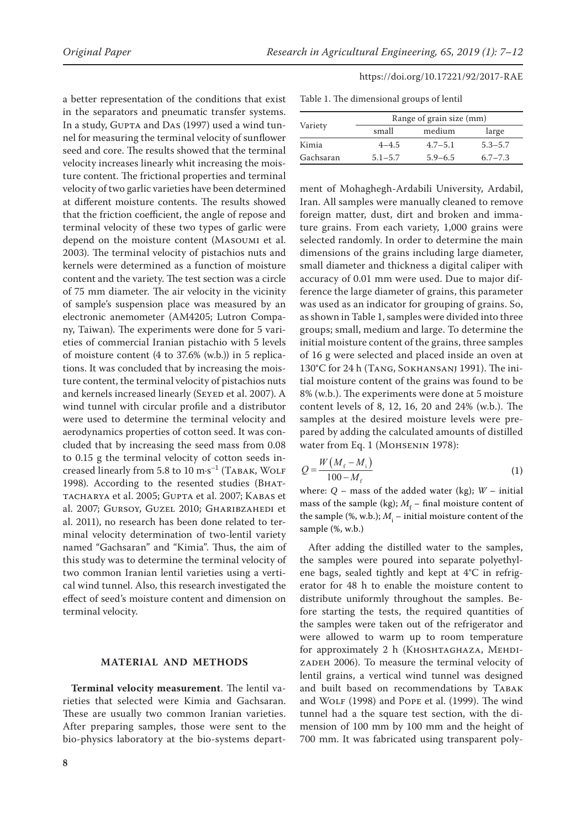a better representation of the conditions that exist in the separators and pneumatic transfer systems. In a study, GUPTA and DAS (1997) used a wind tunnel for measuring the terminal velocity of sunflower seed and core. The results showed that the terminal velocity increases linearly whit increasing the moisture content. The frictional properties and terminal velocity of two garlic varieties have been determined at different moisture contents. The results showed that the friction coefficient, the angle of repose and terminal velocity of these two types of garlic were depend on the moisture content (Masoumi et al. 2003). The terminal velocity of pistachios nuts and kernels were determined as a function of moisture content and the variety. The test section was a circle of 75 mm diameter. The air velocity in the vicinity of sample's suspension place was measured by an electronic anemometer (AM4205; Lutron Company, Taiwan). The experiments were done for 5 varieties of commercial Iranian pistachio with 5 levels of moisture content (4 to 37.6% (w.b.)) in 5 replications. It was concluded that by increasing the moisture content, the terminal velocity of pistachios nuts and kernels increased linearly (SEYED et al. 2007). A wind tunnel with circular profile and a distributor were used to determine the terminal velocity and aerodynamics properties of cotton seed. It was concluded that by increasing the seed mass from 0.08 to 0.15 g the terminal velocity of cotton seeds increased linearly from 5.8 to 10  $m·s^{-1}$  (TABAK, WOLF 1998). According to the resented studies (Bhattacharya et al. 2005; Gupta et al. 2007; Kabas et al. 2007; Gursoy, Guzel 2010; Gharibzahedi et al. 2011), no research has been done related to terminal velocity determination of two-lentil variety named "Gachsaran" and "Kimia". Thus, the aim of this study was to determine the terminal velocity of two common Iranian lentil varieties using a vertical wind tunnel. Also, this research investigated the effect of seed's moisture content and dimension on terminal velocity.

## **MATERIAL AND METHODS**

**Terminal velocity measurement**. The lentil varieties that selected were Kimia and Gachsaran. These are usually two common Iranian varieties. After preparing samples, those were sent to the bio-physics laboratory at the bio-systems depart-

| Table 1. The dimensional groups of lentil |  |  |  |
|-------------------------------------------|--|--|--|
|-------------------------------------------|--|--|--|

| Variety   | Range of grain size (mm) |             |             |  |
|-----------|--------------------------|-------------|-------------|--|
|           | small                    | medium      | large       |  |
| Kimia     | $4 - 4.5$                | $4.7 - 5.1$ | $5.3 - 5.7$ |  |
| Gachsaran | $5.1 - 5.7$              | $5.9 - 6.5$ | $6.7 - 7.3$ |  |

ment of Mohaghegh-Ardabili University, Ardabil, Iran. All samples were manually cleaned to remove foreign matter, dust, dirt and broken and immature grains. From each variety, 1,000 grains were selected randomly. In order to determine the main dimensions of the grains including large diameter, small diameter and thickness a digital caliper with accuracy of 0.01 mm were used. Due to major difference the large diameter of grains, this parameter was used as an indicator for grouping of grains. So, as shown in Table 1, samples were divided into three groups; small, medium and large. To determine the initial moisture content of the grains, three samples of 16 g were selected and placed inside an oven at 130°C for 24 h (Tang, Sokhansanj 1991). The initial moisture content of the grains was found to be 8% (w.b.). The experiments were done at 5 moisture content levels of 8, 12, 16, 20 and 24% (w.b.). The samples at the desired moisture levels were prepared by adding the calculated amounts of distilled water from Eq. 1 (MOHSENIN 1978):

$$
Q = \frac{W(M_f - M_i)}{100 - M_f}
$$
 (1)

where:  $Q$  – mass of the added water (kg);  $W$  – initial mass of the sample (kg);  $M_f$  – final moisture content of the sample (%, w.b.);  $M_{\rm i}$  – initial moisture content of the sample (%, w.b.)

After adding the distilled water to the samples, the samples were poured into separate polyethylene bags, sealed tightly and kept at 4°C in refrigerator for 48 h to enable the moisture content to distribute uniformly throughout the samples. Before starting the tests, the required quantities of the samples were taken out of the refrigerator and were allowed to warm up to room temperature for approximately 2 h (KHOSHTAGHAZA, MEHDI-ZADEH 2006). To measure the terminal velocity of lentil grains, a vertical wind tunnel was designed and built based on recommendations by TABAK and WOLF (1998) and POPE et al. (1999). The wind tunnel had a the square test section, with the dimension of 100 mm by 100 mm and the height of 700 mm. It was fabricated using transparent poly-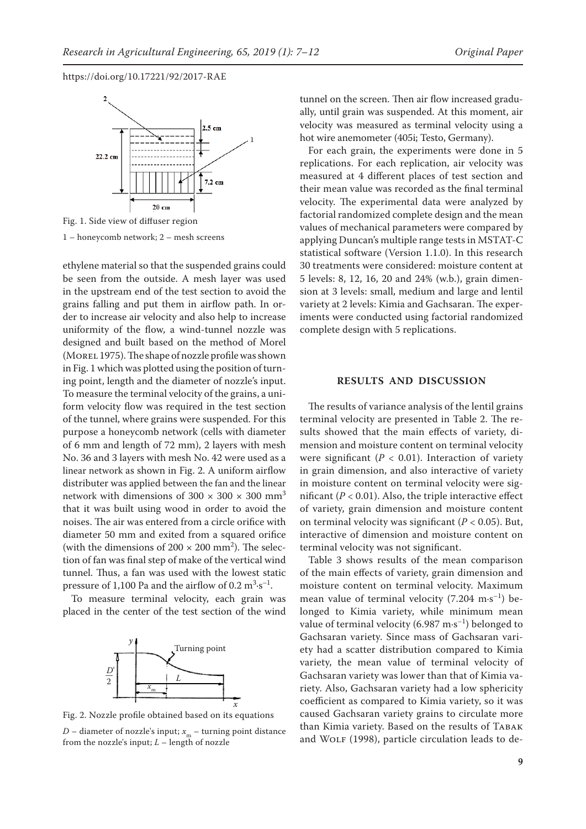

1 – honeycomb network; 2 – mesh screens

ethylene material so that the suspended grains could be seen from the outside. A mesh layer was used in the upstream end of the test section to avoid the grains falling and put them in airflow path. In order to increase air velocity and also help to increase uniformity of the flow, a wind-tunnel nozzle was designed and built based on the method of Morel (MOREL 1975). The shape of nozzle profile was shown in Fig. 1 which was plotted using the position of turning point, length and the diameter of nozzle's input. To measure the terminal velocity of the grains, a uniform velocity flow was required in the test section of the tunnel, where grains were suspended. For this purpose a honeycomb network (cells with diameter of 6 mm and length of 72 mm), 2 layers with mesh No. 36 and 3 layers with mesh No. 42 were used as a linear network as shown in Fig. 2. A uniform airflow distributer was applied between the fan and the linear network with dimensions of  $300 \times 300 \times 300$  mm<sup>3</sup> that it was built using wood in order to avoid the noises. The air was entered from a circle orifice with diameter 50 mm and exited from a squared orifice (with the dimensions of  $200 \times 200$  mm<sup>2</sup>). The selection of fan was final step of make of the vertical wind tunnel. Thus, a fan was used with the lowest static pressure of 1,100 Pa and the airflow of  $0.2 \text{ m}^3 \cdot \text{s}^{-1}$ .

To measure terminal velocity, each grain was placed in the center of the test section of the wind



Fig. 2. Nozzle profile obtained based on its equations

*D* – diameter of nozzle's input;  $x_{m}$  – turning point distance from the nozzle's input; *L* – length of nozzle

tunnel on the screen. Then air flow increased gradually, until grain was suspended. At this moment, air velocity was measured as terminal velocity using a hot wire anemometer (405i; Testo, Germany).

For each grain, the experiments were done in 5 replications. For each replication, air velocity was measured at 4 different places of test section and their mean value was recorded as the final terminal velocity. The experimental data were analyzed by factorial randomized complete design and the mean values of mechanical parameters were compared by applying Duncan's multiple range tests in MSTAT-C statistical software (Version 1.1.0). In this research 30 treatments were considered: moisture content at 5 levels: 8, 12, 16, 20 and 24% (w.b.), grain dimension at 3 levels: small, medium and large and lentil variety at 2 levels: Kimia and Gachsaran. The experiments were conducted using factorial randomized complete design with 5 replications.

### **RESULTS AND DISCUSSION**

The results of variance analysis of the lentil grains terminal velocity are presented in Table 2. The results showed that the main effects of variety, dimension and moisture content on terminal velocity were significant ( $P < 0.01$ ). Interaction of variety in grain dimension, and also interactive of variety in moisture content on terminal velocity were significant  $(P < 0.01)$ . Also, the triple interactive effect of variety, grain dimension and moisture content on terminal velocity was significant  $(P < 0.05)$ . But, interactive of dimension and moisture content on terminal velocity was not significant.

Table 3 shows results of the mean comparison of the main effects of variety, grain dimension and moisture content on terminal velocity. Maximum mean value of terminal velocity  $(7.204 \text{ m} \cdot \text{s}^{-1})$  belonged to Kimia variety, while minimum mean value of terminal velocity (6.987 m·s<sup>-1</sup>) belonged to Gachsaran variety. Since mass of Gachsaran variety had a scatter distribution compared to Kimia variety, the mean value of terminal velocity of Gachsaran variety was lower than that of Kimia variety. Also, Gachsaran variety had a low sphericity coefficient as compared to Kimia variety, so it was caused Gachsaran variety grains to circulate more than Kimia variety. Based on the results of TABAK and WOLF (1998), particle circulation leads to de-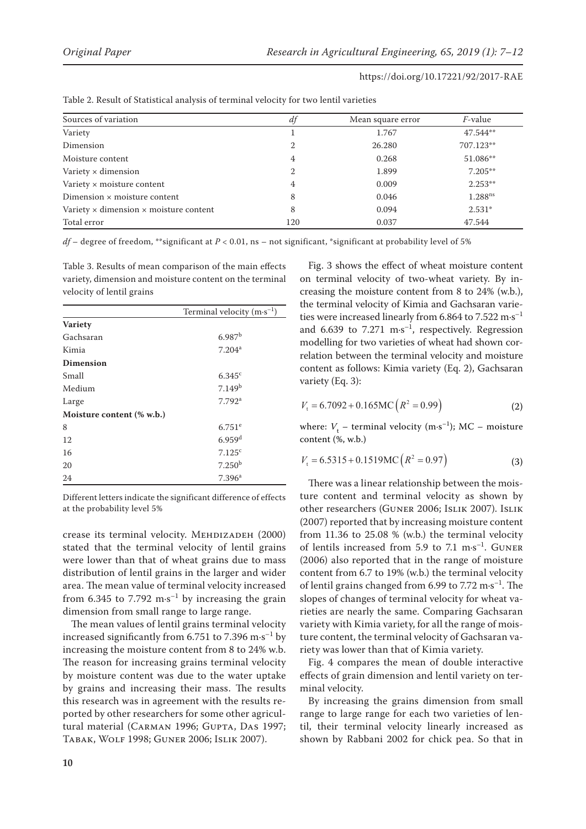| Sources of variation                                 | df             | Mean square error | <i>F</i> -value     |
|------------------------------------------------------|----------------|-------------------|---------------------|
| Variety                                              |                | 1.767             | $47.544**$          |
| Dimension                                            | 2              | 26.280            | 707.123**           |
| Moisture content                                     | 4              | 0.268             | 51.086**            |
| Variety $\times$ dimension                           | $\overline{2}$ | 1.899             | $7.205**$           |
| Variety × moisture content                           | 4              | 0.009             | $2.253**$           |
| Dimension $\times$ moisture content                  | 8              | 0.046             | 1.288 <sup>ns</sup> |
| Variety $\times$ dimension $\times$ moisture content | 8              | 0.094             | $2.531*$            |
| Total error                                          | 120            | 0.037             | 47.544              |

Table 2. Result of Statistical analysis of terminal velocity for two lentil varieties

*df* – degree of freedom, \*\*significant at *P* < 0.01, ns – not significant, \*significant at probability level of 5%

Table 3. Results of mean comparison of the main effects variety, dimension and moisture content on the terminal velocity of lentil grains

|                           | Terminal velocity $(m \cdot s^{-1})$ |
|---------------------------|--------------------------------------|
| <b>Variety</b>            |                                      |
| Gachsaran                 | 6.987 <sup>b</sup>                   |
| Kimia                     | $7.204^a$                            |
| <b>Dimension</b>          |                                      |
| Small                     | $6.345^{\circ}$                      |
| Medium                    | 7.149 <sup>b</sup>                   |
| Large                     | $7.792$ <sup>a</sup>                 |
| Moisture content (% w.b.) |                                      |
| 8                         | $6.751$ <sup>e</sup>                 |
| 12                        | 6.959 <sup>d</sup>                   |
| 16                        | 7.125c                               |
| 20                        | 7.250 <sup>b</sup>                   |
| 24                        | 7.396 <sup>a</sup>                   |

Different letters indicate the significant difference of effects at the probability level 5%

crease its terminal velocity. MEHDIZADEH (2000) stated that the terminal velocity of lentil grains were lower than that of wheat grains due to mass distribution of lentil grains in the larger and wider area. The mean value of terminal velocity increased from 6.345 to 7.792  $\text{m} \cdot \text{s}^{-1}$  by increasing the grain dimension from small range to large range.

The mean values of lentil grains terminal velocity increased significantly from 6.751 to 7.396  $\mathrm{m\cdot s^{-1}}$  by increasing the moisture content from 8 to 24% w.b. The reason for increasing grains terminal velocity by moisture content was due to the water uptake by grains and increasing their mass. The results this research was in agreement with the results reported by other researchers for some other agricultural material (CARMAN 1996; GUPTA, DAS 1997; Tabak, Wolf 1998; Guner 2006; Islik 2007).

Fig. 3 shows the effect of wheat moisture content on terminal velocity of two-wheat variety. By increasing the moisture content from 8 to 24% (w.b.), the terminal velocity of Kimia and Gachsaran varieties were increased linearly from 6.864 to 7.522 m·s<sup>-1</sup> and 6.639 to  $7.271 \text{ m} \cdot \text{s}^{-1}$ , respectively. Regression modelling for two varieties of wheat had shown correlation between the terminal velocity and moisture content as follows: Kimia variety (Eq. 2), Gachsaran variety (Eq. 3):

$$
V_t = 6.7092 + 0.165 \text{MC} \left( R^2 = 0.99 \right) \tag{2}
$$

where:  $V_t$  – terminal velocity (m·s<sup>-1</sup>); MC – moisture content (%, w.b.)

$$
V_{t} = 6.5315 + 0.1519MC (R^{2} = 0.97)
$$
 (3)

There was a linear relationship between the moisture content and terminal velocity as shown by other researchers (Guner 2006; Islik 2007). Islik (2007) reported that by increasing moisture content from 11.36 to 25.08 % (w.b.) the terminal velocity of lentils increased from 5.9 to 7.1  $\text{m·s}^{-1}$ . GUNER (2006) also reported that in the range of moisture content from 6.7 to 19% (w.b.) the terminal velocity of lentil grains changed from 6.99 to 7.72  $\text{m}\cdot\text{s}^{-1}$ . The slopes of changes of terminal velocity for wheat varieties are nearly the same. Comparing Gachsaran variety with Kimia variety, for all the range of moisture content, the terminal velocity of Gachsaran variety was lower than that of Kimia variety.

Fig. 4 compares the mean of double interactive effects of grain dimension and lentil variety on terminal velocity.

By increasing the grains dimension from small range to large range for each two varieties of lentil, their terminal velocity linearly increased as shown by Rabbani 2002 for chick pea. So that in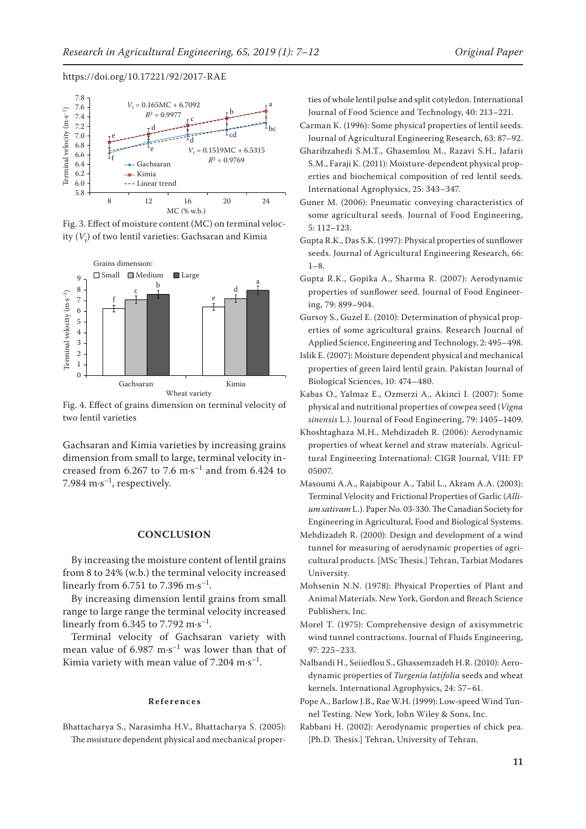

Fig. 3. Effect of moisture content (MC) on terminal velocity  $(V_t)$  of two lentil varieties: Gachsaran and Kimia



Fig. 4. Effect of grains dimension on terminal velocity of two lentil varieties

Gachsaran and Kimia varieties by increasing grains dimension from small to large, terminal velocity increased from 6.267 to 7.6  $\text{m} \cdot \text{s}^{-1}$  and from 6.424 to 7.984  $\mathrm{m} \cdot \mathrm{s}^{-1}$ , respectively.

# **CONCLUSION**

By increasing the moisture content of lentil grains from 8 to 24% (w.b.) the terminal velocity increased linearly from 6.751 to 7.396 m $\cdot$ s<sup>-1</sup>.

By increasing dimension lentil grains from small range to large range the terminal velocity increased linearly from 6.345 to 7.792  $\text{m} \cdot \text{s}^{-1}$ .

Terminal velocity of Gachsaran variety with mean value of  $6.987 \text{ m} \cdot \text{s}^{-1}$  was lower than that of Kimia variety with mean value of  $7.204 \text{ m} \cdot \text{s}^{-1}$ .

#### **References**

Bhattacharya S., Narasimha H.V., Bhattacharya S. (2005): The moisture dependent physical and mechanical properties of whole lentil pulse and split cotyledon. International Journal of Food Science and Technology, 40: 213–221.

- Carman K. (1996): Some physical properties of lentil seeds. Journal of Agricultural Engineering Research, 63: 87–92.
- Gharibzahedi S.M.T., Ghasemlou M., Razavi S.H., Jafarii S.M., Faraji K. (2011): Moisture-dependent physical properties and biochemical composition of red lentil seeds. International Agrophysics, 25: 343–347.
- Guner M. (2006): Pneumatic conveying characteristics of some agricultural seeds. Journal of Food Engineering, 5: 112–123.
- Gupta R.K., Das S.K. (1997): Physical properties of sunflower seeds. Journal of Agricultural Engineering Research, 66:  $1 - 8$ .
- Gupta R.K., Gopika A., Sharma R. (2007): Aerodynamic properties of sunflower seed. Journal of Food Engineering, 79: 899–904.
- Gursoy S., Guzel E. (2010): Determination of physical properties of some agricultural grains. Research Journal of Applied Science, Engineering and Technology, 2: 495–498.
- Islik E. (2007): Moisture dependent physical and mechanical properties of green laird lentil grain. Pakistan Journal of Biological Sciences, 10: 474–480.
- Kabas O., Yalmaz E., Ozmerzi A., Akinci I. (2007): Some physical and nutritional properties of cowpea seed (*Vigna sinensis* L.). Journal of Food Engineering, 79: 1405–1409.
- Khoshtaghaza M.H., Mehdizadeh R. (2006): Aerodynamic properties of wheat kernel and straw materials. Agricultural Engineering International: CIGR Journal, VIII: FP 05007.
- Masoumi A.A., Rajabipour A., Tabil L., Akram A.A. (2003): Terminal Velocity and Frictional Properties of Garlic (*Allium sativam* L.). Paper No. 03-330. The Canadian Society for Engineering in Agricultural, Food and Biological Systems.
- Mehdizadeh R. (2000): Design and development of a wind tunnel for measuring of aerodynamic properties of agricultural products. [MSc Thesis.] Tehran, Tarbiat Modares University.
- Mohsenin N.N. (1978): Physical Properties of Plant and Animal Materials. New York, Gordon and Breach Science Publishers, Inc.
- Morel T. (1975): Comprehensive design of axisymmetric wind tunnel contractions. Journal of Fluids Engineering, 97: 225–233.
- Nalbandi H., Seiiedlou S., Ghassemzadeh H.R. (2010): Aerodynamic properties of *Turgenia latifolia* seeds and wheat kernels. International Agrophysics, 24: 57–61.
- Pope A., Barlow J.B., Rae W.H. (1999): Low-speed Wind Tunnel Testing. New York, John Wiley & Sons, Inc.
- Rabbani H. (2002): Aerodynamic properties of chick pea. [Ph.D. Thesis.] Tehran, University of Tehran.